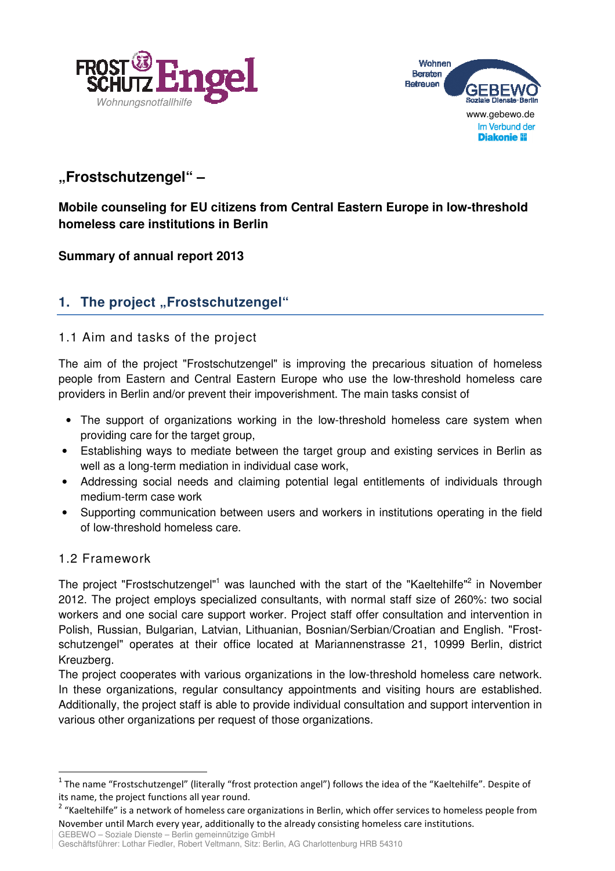



# **"Frostschutzengel" –**

### **Mobile counseling for EU citizens from Central Eastern Europe in low-threshold homeless care institutions in Berlin**

### **Summary of annual report 2013**

## 1. The project "Frostschutzengel"

### 1.1 Aim and tasks of the project

The aim of the project "Frostschutzengel" is improving the precarious situation of homeless people from Eastern and Central Eastern Europe who use the low-threshold homeless care providers in Berlin and/or prevent their impoverishment. The main tasks consist of

- The support of organizations working in the low-threshold homeless care system when providing care for the target group,
- Establishing ways to mediate between the target group and existing services in Berlin as well as a long-term mediation in individual case work,
- Addressing social needs and claiming potential legal entitlements of individuals through medium-term case work
- Supporting communication between users and workers in institutions operating in the field of low-threshold homeless care.

### 1.2 Framework

-

The project "Frostschutzengel"<sup>1</sup> was launched with the start of the "Kaeltehilfe"<sup>2</sup> in November 2012. The project employs specialized consultants, with normal staff size of 260%: two social workers and one social care support worker. Project staff offer consultation and intervention in Polish, Russian, Bulgarian, Latvian, Lithuanian, Bosnian/Serbian/Croatian and English. "Frostschutzengel" operates at their office located at Mariannenstrasse 21, 10999 Berlin, district Kreuzberg.

The project cooperates with various organizations in the low-threshold homeless care network. In these organizations, regular consultancy appointments and visiting hours are established. Additionally, the project staff is able to provide individual consultation and support intervention in various other organizations per request of those organizations.

GEBEWO – Soziale Dienste – Berlin gemeinnützige GmbH Geschäftsführer: Lothar Fiedler, Robert Veltmann, Sitz: Berlin, AG Charlottenburg HRB 54310

<sup>&</sup>lt;sup>1</sup> The name "Frostschutzengel" (literally "frost protection angel") follows the idea of the "Kaeltehilfe". Despite of its name, the project functions all year round.

<sup>&</sup>lt;sup>2</sup> "Kaeltehilfe" is a network of homeless care organizations in Berlin, which offer services to homeless people from November until March every year, additionally to the already consisting homeless care institutions.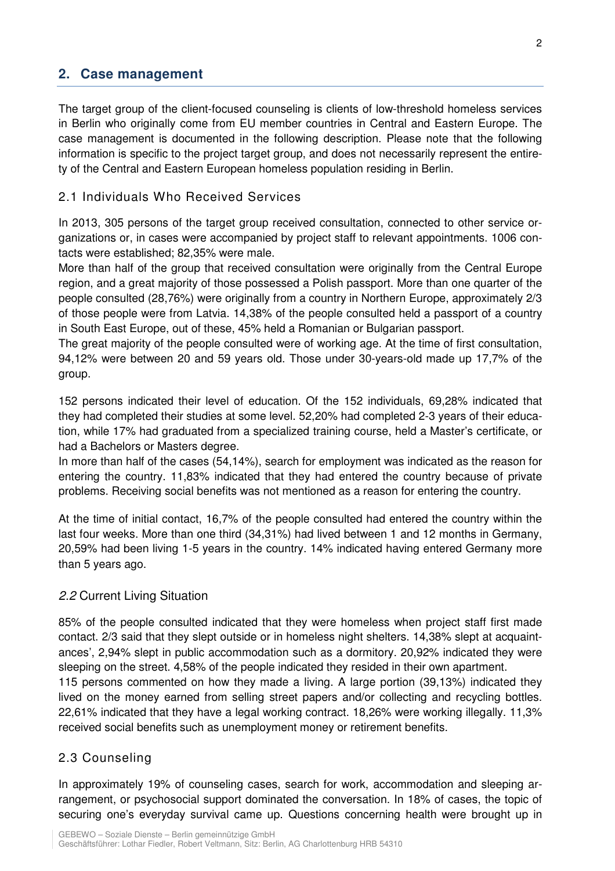### **2. Case management**

The target group of the client-focused counseling is clients of low-threshold homeless services in Berlin who originally come from EU member countries in Central and Eastern Europe. The case management is documented in the following description. Please note that the following information is specific to the project target group, and does not necessarily represent the entirety of the Central and Eastern European homeless population residing in Berlin.

### 2.1 Individuals Who Received Services

In 2013, 305 persons of the target group received consultation, connected to other service organizations or, in cases were accompanied by project staff to relevant appointments. 1006 contacts were established; 82,35% were male.

More than half of the group that received consultation were originally from the Central Europe region, and a great majority of those possessed a Polish passport. More than one quarter of the people consulted (28,76%) were originally from a country in Northern Europe, approximately 2/3 of those people were from Latvia. 14,38% of the people consulted held a passport of a country in South East Europe, out of these, 45% held a Romanian or Bulgarian passport.

The great majority of the people consulted were of working age. At the time of first consultation, 94,12% were between 20 and 59 years old. Those under 30-years-old made up 17,7% of the group.

152 persons indicated their level of education. Of the 152 individuals, 69,28% indicated that they had completed their studies at some level. 52,20% had completed 2-3 years of their education, while 17% had graduated from a specialized training course, held a Master's certificate, or had a Bachelors or Masters degree.

In more than half of the cases (54,14%), search for employment was indicated as the reason for entering the country. 11,83% indicated that they had entered the country because of private problems. Receiving social benefits was not mentioned as a reason for entering the country.

At the time of initial contact, 16,7% of the people consulted had entered the country within the last four weeks. More than one third (34,31%) had lived between 1 and 12 months in Germany, 20,59% had been living 1-5 years in the country. 14% indicated having entered Germany more than 5 years ago.

### 2.2 Current Living Situation

85% of the people consulted indicated that they were homeless when project staff first made contact. 2/3 said that they slept outside or in homeless night shelters. 14,38% slept at acquaintances', 2,94% slept in public accommodation such as a dormitory. 20,92% indicated they were sleeping on the street. 4,58% of the people indicated they resided in their own apartment. 115 persons commented on how they made a living. A large portion (39,13%) indicated they lived on the money earned from selling street papers and/or collecting and recycling bottles. 22,61% indicated that they have a legal working contract. 18,26% were working illegally. 11,3% received social benefits such as unemployment money or retirement benefits.

### 2.3 Counseling

In approximately 19% of counseling cases, search for work, accommodation and sleeping arrangement, or psychosocial support dominated the conversation. In 18% of cases, the topic of securing one's everyday survival came up. Questions concerning health were brought up in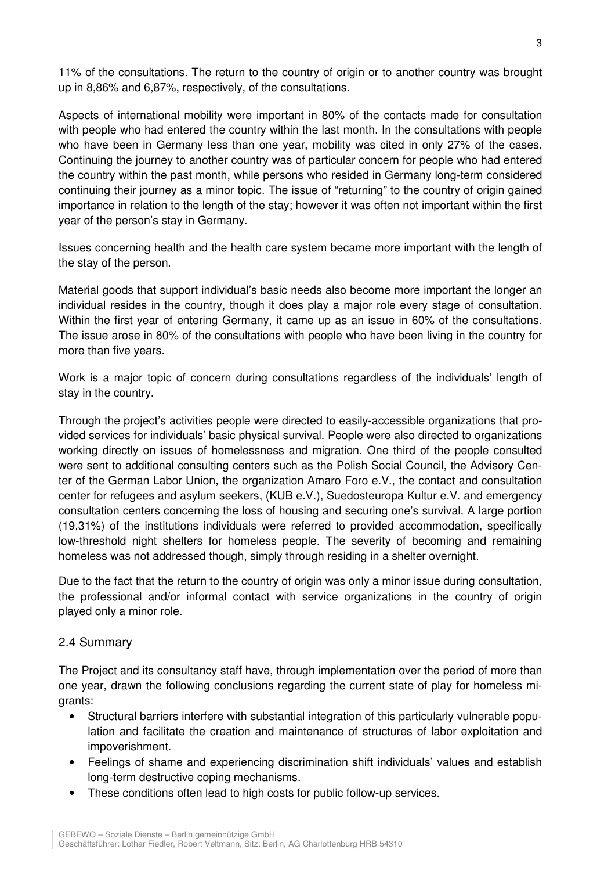11% of the consultations. The return to the country of origin or to another country was brought up in 8,86% and 6,87%, respectively, of the consultations.

Aspects of international mobility were important in 80% of the contacts made for consultation with people who had entered the country within the last month. In the consultations with people who have been in Germany less than one year, mobility was cited in only 27% of the cases. Continuing the journey to another country was of particular concern for people who had entered the country within the past month, while persons who resided in Germany long-term considered continuing their journey as a minor topic. The issue of "returning" to the country of origin gained importance in relation to the length of the stay; however it was often not important within the first year of the person's stay in Germany.

Issues concerning health and the health care system became more important with the length of the stay of the person.

Material goods that support individual's basic needs also become more important the longer an individual resides in the country, though it does play a major role every stage of consultation. Within the first year of entering Germany, it came up as an issue in 60% of the consultations. The issue arose in 80% of the consultations with people who have been living in the country for more than five years.

Work is a major topic of concern during consultations regardless of the individuals' length of stay in the country.

Through the project's activities people were directed to easily-accessible organizations that provided services for individuals' basic physical survival. People were also directed to organizations working directly on issues of homelessness and migration. One third of the people consulted were sent to additional consulting centers such as the Polish Social Council, the Advisory Center of the German Labor Union, the organization Amaro Foro e.V., the contact and consultation center for refugees and asylum seekers, (KUB e.V.), Suedosteuropa Kultur e.V. and emergency consultation centers concerning the loss of housing and securing one's survival. A large portion (19,31%) of the institutions individuals were referred to provided accommodation, specifically low-threshold night shelters for homeless people. The severity of becoming and remaining homeless was not addressed though, simply through residing in a shelter overnight.

Due to the fact that the return to the country of origin was only a minor issue during consultation, the professional and/or informal contact with service organizations in the country of origin played only a minor role.

#### 2.4 Summary

The Project and its consultancy staff have, through implementation over the period of more than one year, drawn the following conclusions regarding the current state of play for homeless migrants:

- Structural barriers interfere with substantial integration of this particularly vulnerable population and facilitate the creation and maintenance of structures of labor exploitation and impoverishment.
- Feelings of shame and experiencing discrimination shift individuals' values and establish long-term destructive coping mechanisms.
- These conditions often lead to high costs for public follow-up services.